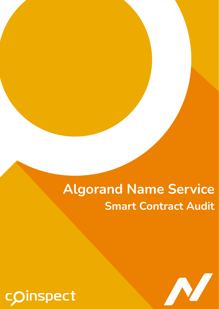# **Algorand Name Service Smart Contract Audit**



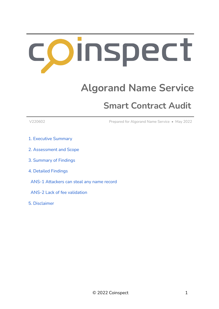# Oinspect

## **Algorand Name Service**

## **Smart Contract Audit**

V220602 Prepared for Algorand Name Service • May 2022

- 1. Executive [Summary](#page-2-0)
- 2. [Assessment](#page-3-0) and Scope
- 3. [Summary](#page-4-0) of Findings
- 4. Detailed [Findings](#page-5-0)
- ANS-1 [Attackers](#page-5-1) can steal any name record
- ANS-2 Lack of fee [validation](#page-8-0)
- 5. [Disclaimer](#page-9-0)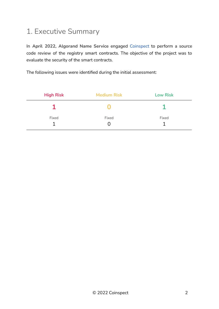## <span id="page-2-0"></span>1. Executive Summary

In **April 2022, Algorand Name Service** engaged [Coinspect](https://www.coinspect.com) to perform a source code review of the **registry smart contracts**. The objective of the project was to evaluate the security of the smart contracts.

The following issues were identified during the initial assessment:

| <b>High Risk</b> | <b>Medium Risk</b> | <b>Low Risk</b> |
|------------------|--------------------|-----------------|
|                  |                    |                 |
| Fixed            | Fixed              | Fixed           |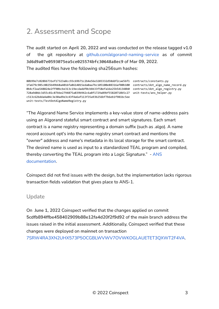## <span id="page-3-0"></span>2. Assessment and Scope

The audit started on **April 20, 2022** and was conducted on the release tagged **v1.0** of the git repository at [github.com/algorand-naming-service](https://github.com/algorand-naming-service/registry-smart-contracts/releases/tag/v1.0) as of commit **3d6d9a07e0593075ea5ce025574bfc30648a8ec9** of **Mar 09, 2022**. The audited files have the following sha256sum hashes:

80b99e7c028bb731ef17323a8cc93c69b71c2b4e56e3203332d58ddf2cae56f1 contracts/constants.py 1fa679c985c8025b49b68a4016fa8614015eda0aa7bc105100e88316af80b100 contracts/dot\_algo\_name\_record.py 0b4cf2aa548824e2ff90bcbe313c19ecdaddf0cbbb33f58efa16e25b541348b0 contracts/dot\_algo\_registry.py 728a9d0dc3d55c81c87bbe2794875a839b942c6a8f1729a89bf55820718b5c27 unit-tests/ans\_helper.py c513c62bdda4a04c3e30ad9e3c43f4a6af113f35a93b256bf7b6eb1f981bc5ee unit-tests/TestDotAlgoNameRegistry.py

"The Algorand Name Service implements a key-value store of name-address pairs using an Algorand stateful smart contract and smart signatures. Each smart contract is a name registry representing a domain suffix (such as .algo). A name record account opt's into the name registry smart contract and mentions the "*owner*" address and name's metadata in its local storage for the smart contract. The desired name is used as input to a standardized TEAL program and compiled, thereby converting the TEAL program into a Logic Signature." - [ANS](https://docs.algonameservice.com/technical-details/design) [documentation.](https://docs.algonameservice.com/technical-details/design)

Coinspect did not find issues with the design, but the implementation lacks rigorous transaction fields validation that gives place to ANS-1.

#### Update

On **June 1, 2022** Coinspect verified that the changes applied on commit **5cdfb894ffbe458402909b88e12fa4d20f2f9d92** of the **main** branch address the issues raised in the initial assessment. Additionally, Coinspect verified that these changes were deployed on **mainnet** on transaction [7SRW4RA3XN2UHX573P5OCGBLWVWV7OVWKOGLAUETET3QXWT2F4VA](https://algoexplorer.io/tx/7SRW4RA3XN2UHX573P5OCGBLWVWV7OVWKOGLAUETET3QXWT2F4VA).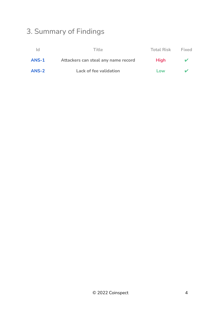## <span id="page-4-0"></span>3. Summary of Findings

| Id    | Title                               | Total Risk  | Fixed |
|-------|-------------------------------------|-------------|-------|
| ANS-1 | Attackers can steal any name record | <b>High</b> | v     |
| ANS-2 | Lack of fee validation              | Low         |       |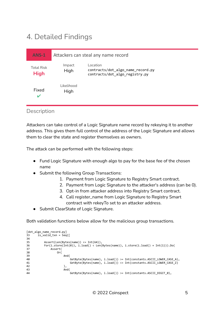## <span id="page-5-0"></span>4. Detailed Findings

<span id="page-5-1"></span>

| <b>ANS-1</b>                     | Attackers can steal any name record |                                                                                 |
|----------------------------------|-------------------------------------|---------------------------------------------------------------------------------|
| <b>Total Risk</b><br><b>High</b> | Impact<br>High                      | Location<br>contracts/dot_algo_name_record.py<br>contracts/dot_algo_registry.py |
| Fixed<br>v                       | Likelihood<br>High                  |                                                                                 |

#### Description

Attackers can take control of a Logic Signature name record by rekeying it to another address. This gives them full control of the address of the Logic Signature and allows them to clear the state and register themselves as owners.

The attack can be performed with the following steps:

- Fund Logic Signature with enough algo to pay for the base fee of the chosen name
- Submit the following Group Transactions:
	- 1. Payment from Logic Signature to Registry Smart contract.
	- 2. Payment from Logic Signature to the attacker's address (can be 0).
	- 3. Opt-in from attacker address into Registry Smart contract.
	- 4. Call register\_name from Logic Signature to Registry Smart contract with rekeyTo set to an attacker address.
- Submit ClearState of Logic Signature.

Both validation functions below allow for the malicious group transactions.

```
[dot algo name record.py]
33 is_valid_txn = Seq([
34
35 Assert(Len(Bytes(name)) <= Int(64)),
36 For(i.store(Int(0)), i.load() < Len(Bytes(name)), i.store(i.load() + Int(1))).Do(
37 Assert(
38 Or(
39 And(
40 GetByte(Bytes(name), i.load()) >= Int(constants.ASCII_LOWER_CASE_A),<br>41 GetByte(Bytes(name), i.load()) <= Int(constants.ASCII_LOWER_CASE_7)
                        6etByte(Bytes(name), i.load()) <= Int(constants.ASCII_LOWER_CASE_Z)
42 ),
43 And(
                        6etByte(Bytes(name), i.load()) >= Int(constants.ASCII_DIGIT_0),
```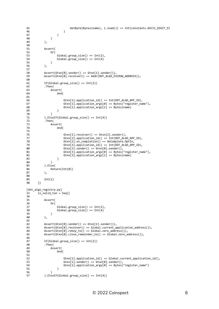```
45 GetByte(Bytes(name), i.load()) <= Int(constants.ASCII_DIGIT_9)
46 )
47 )
48 )
49 ),
50
51 Assert(
52 Or(
53 Global.group_size() == Int(2),
54 Global.group_size() == Int(4)
55 ),
         56 ),
57
58 Assert(Gtxn[0].sender() == Gtxn[1].sender()),
59 Assert(Gtxn[0].receiver() == Addr(DOT_ALGO_ESCROW_ADDRESS)),
60
61 If(Global.group_size() == Int(2))<br>62 .Then(
         .Then(
63 Assert(
64 And(
65
66 Gtxn[1].application_id() == Int(DOT_ALGO_APP_ID),
67 Gtxn[1].application_args[0] == Bytes("register_name"),<br>68 Gtxn[1].application args[1] == Bytes(name)
                    Gtxn[1].application\_args[1] == Bytes(name)69 )
70 )
71 ).ElseIf(Global.group_size() == Int(4))
72 .Then(
73 Assert(
                 And (
75
76 Gtxn[1].receiver() == Gtxn[2].sender(),<br>77 Gtxn[2].application id() == Int(DOT ALG
                    Gtxn[2].application_id() == Int(DOT_ALGO_APP_ID),
78 Gtxn[2].on_completion() == OnComplete.OptIn,
79 Gtxn[3].application_id() == Int(DOT_ALGO_APP_ID),
                    Gtxn[3].sender() == Gtxn[0].sender(),
81 Gtxn[3].application_args[0] == Bytes("register_name"),<br>82 Gtxn[3].application args[1] == Bytes(name)
82 Gtxn[3].application_args[1] == Bytes(name) 83
83 )
84 )
85 ).Else(<br>86 Retu
             Return(Int(0))
87 ),
88
         Int(1)90 ])
[dot_algo_registry.py]
33 is_valid_txn = Seq([
34<br>35
         Assert(
36 Or(
37 Global.group_size() == Int(2),<br>38 Global.group size() == Int(4)Global.group\_size() == Int(4)39 )
40 ),
41
42 Assert(Gtxn[0].sender() == Gtxn[1].sender()),
43 Assert(Gtxn[0].receiver() == Global.current_application_address()),<br>44 Assert(Gtxn[0].rekey to() == Global.zero address()),
         44 Assert(Gtxn[0].rekey_to() == Global.zero_address()),
45 Assert(Gtxn[0].close_remainder_to() == Global.zero_address()),
46<br>47
         If(Global.group_size() == Int(2))48 .Then (<br>49      As
49 Assert(
                 And (
51
52 Gtxn[1].application_id() == Global.current_application_id(),<br>53 Gtxn[1].sender() == Gtxn[0].sender().
                    Gtxn[1].sender() == Gtxn[0].sender(),54 Gtxn[1].application_args[0] == Bytes("register_name")
55 )
56 )
57 ).ElseIf(Global.group_size() == Int(4))
```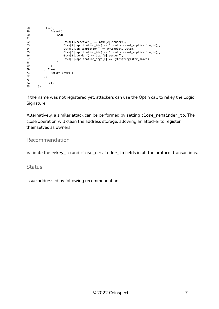```
58 .Then(
59 Assert(
                And\overrightarrow{A}61<br>62
62 Gtxn[1].receiver() == Gtxn[2].sender(),<br>63 Gtxn[2].application_id() == Global.curr
                   63 Gtxn[2].application_id() == Global.current_application_id(),
64 Gtxn[2].on_completion() == OnComplete.OptIn,
65 Gtxn[3].application_id() == Global.current_application_id(),
66 Gtxn[3].sender() == Gtxn[0].sender(),
67 Gtxn[3].application_args[0] == Bytes("register_name")
68 )
69 )
70 ).Else(
71 Return(Int(0))<br>72 ),
         ),73
74 Int(1)
      1)
```
If the name was not registered yet, attackers can use the OptIn call to rekey the Logic Signature.

Alternatively, a similar attack can be performed by setting close remainder to. The close operation will clean the address storage, allowing an attacker to register themselves as owners.

#### Recommendation

Validate the rekey\_to and close\_remainder\_to fields in all the protocol transactions.

#### **Status**

Issue addressed by following recommendation.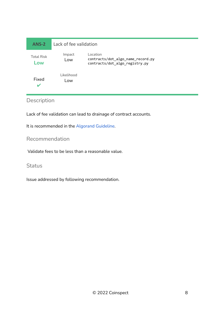<span id="page-8-0"></span>

| ANS-2                    | Lack of fee validation |                                                                                 |
|--------------------------|------------------------|---------------------------------------------------------------------------------|
| <b>Total Risk</b><br>Low | Impact<br>Low          | Location<br>contracts/dot_algo_name_record.py<br>contracts/dot_algo_registry.py |
| Fixed<br>v               | Likelihood<br>Low      |                                                                                 |

### Description

Lack of fee validation can lead to drainage of contract accounts.

It is recommended in the Algorand [Guideline.](https://developer.algorand.org/docs/get-details/dapps/avm/teal/guidelines/)

#### Recommendation

Validate fees to be less than a reasonable value.

#### **Status**

Issue addressed by following recommendation.